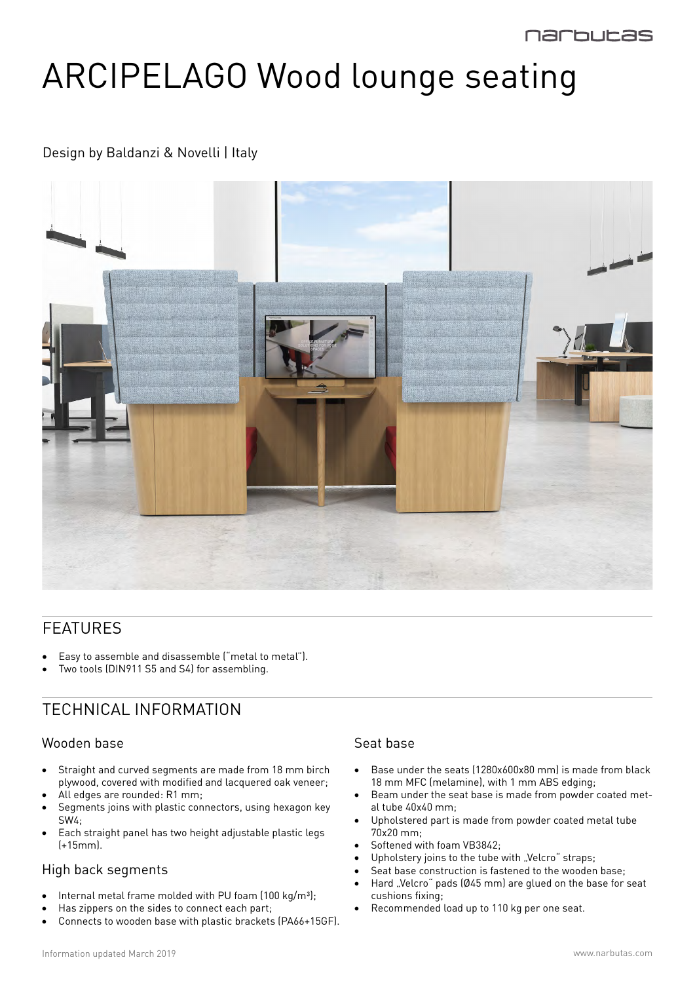# ARCIPELAGO Wood lounge seating

## Design by Baldanzi & Novelli | Italy



## FEATURES

- Easy to assemble and disassemble ("metal to metal").
- Two tools (DIN911 S5 and S4) for assembling.

# TECHNICAL INFORMATION

#### Wooden base

- Straight and curved segments are made from 18 mm birch plywood, covered with modified and lacquered oak veneer;
- All edges are rounded: R1 mm;
- Segments joins with plastic connectors, using hexagon key SW4;
- • Each straight panel has two height adjustable plastic legs (+15mm).

#### High back segments

- Internal metal frame molded with PU foam  $(100 \text{ kg/m}^3);$
- Has zippers on the sides to connect each part;
- Connects to wooden base with plastic brackets (PA66+15GF).

#### Seat base

- Base under the seats (1280x600x80 mm) is made from black 18 mm MFC (melamine), with 1 mm ABS edging;
- Beam under the seat base is made from powder coated metal tube 40x40 mm;
- Upholstered part is made from powder coated metal tube 70x20 mm;
- Softened with foam VB3842;
- Upholstery joins to the tube with "Velcro" straps;
- Seat base construction is fastened to the wooden base;
- Hard "Velcro" pads (Ø45 mm) are glued on the base for seat cushions fixing;
- Recommended load up to 110 kg per one seat.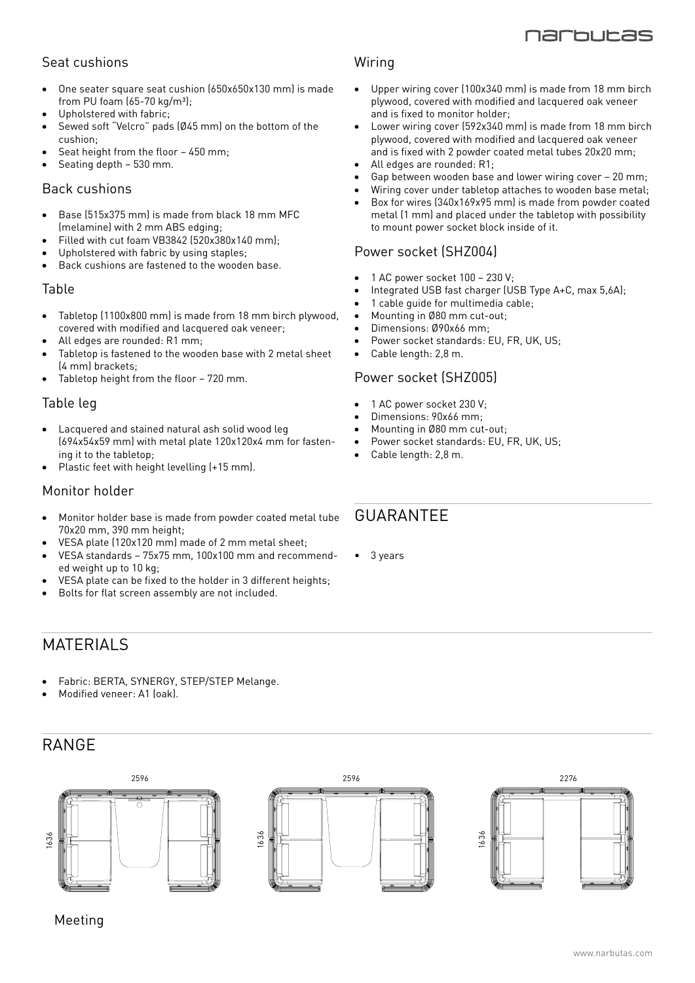

## Seat cushions

- One seater square seat cushion (650x650x130 mm) is made from PU foam  $(65-70 \text{ kg/m}^3)$ ;
- Upholstered with fabric;
- Sewed soft "Velcro" pads (Ø45 mm) on the bottom of the cushion;
- Seat height from the floor  $-450$  mm;
- Seating depth 530 mm.

#### Back cushions

- Base (515x375 mm) is made from black 18 mm MFC (melamine) with 2 mm ABS edging;
- Filled with cut foam VB3842 ( $520x380x140$  mm);
- Upholstered with fabric by using staples:
- Back cushions are fastened to the wooden base.

#### Table

- Tabletop (1100x800 mm) is made from 18 mm birch plywood, covered with modified and lacquered oak veneer;
- All edges are rounded:  $R1$  mm;
- Tabletop is fastened to the wooden base with 2 metal sheet (4 mm) brackets;
- Tabletop height from the floor 720 mm.

#### Table leg

- Lacquered and stained natural ash solid wood leg (694x54x59 mm) with metal plate 120x120x4 mm for fastening it to the tabletop;
- Plastic feet with height levelling (+15 mm).

#### Monitor holder

- Monitor holder base is made from powder coated metal tube 70x20 mm, 390 mm height;
- VESA plate (120x120 mm) made of 2 mm metal sheet;
- VESA standards 75x75 mm, 100x100 mm and recommended weight up to 10 kg;
- VESA plate can be fixed to the holder in 3 different heights;
- Bolts for flat screen assembly are not included.

#### Wiring

- Upper wiring cover (100x340 mm) is made from 18 mm birch plywood, covered with modified and lacquered oak veneer and is fixed to monitor holder;
- Lower wiring cover (592x340 mm) is made from 18 mm birch plywood, covered with modified and lacquered oak veneer and is fixed with 2 powder coated metal tubes 20x20 mm;
- All edges are rounded:  $R1$ :
- Gap between wooden base and lower wiring cover 20 mm;
- Wiring cover under tabletop attaches to wooden base metal;
- Box for wires (340x169x95 mm) is made from powder coated metal (1 mm) and placed under the tabletop with possibility to mount power socket block inside of it.

#### Power socket (SHZ004)

- 1 AC power socket  $100 230$  V;
- Integrated USB fast charger (USB Type A+C, max 5,6A);
- 1 cable quide for multimedia cable;
- Mounting in Ø80 mm cut-out;
- Dimensions: Ø90x66 mm:
- Power socket standards: EU, FR, UK, US;
- Cable length: 2,8 m.

#### Power socket (SHZ005)

- 1 AC power socket 230 V;
- Dimensions: 90x66 mm;
- Mounting in Ø80 mm cut-out:
- Power socket standards: EU, FR, UK, US;
- Cable length: 2,8 m.

## **GUARANTEF**

• 3 years

## MATERIALS

- Fabric: BERTA, SYNERGY, STEP/STEP Melange.
- Modified veneer: A1 (oak).

# RANGE



Meeting